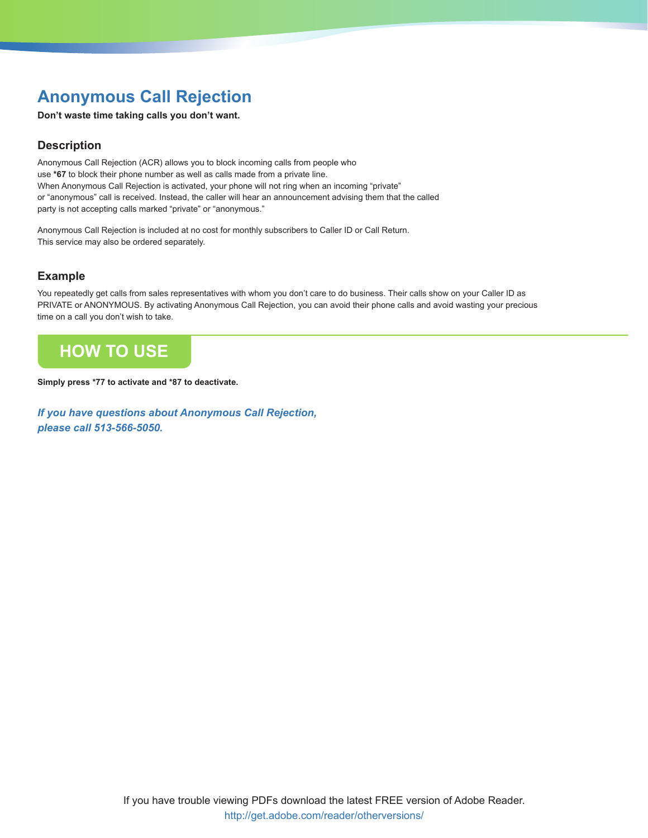## **Anonymous Call Rejection**

**Don't waste time taking calls you don't want.**

## **Description**

Anonymous Call Rejection (ACR) allows you to block incoming calls from people who use **\*67** to block their phone number as well as calls made from a private line. When Anonymous Call Rejection is activated, your phone will not ring when an incoming "private" or "anonymous" call is received. Instead, the caller will hear an announcement advising them that the called party is not accepting calls marked "private" or "anonymous."

Anonymous Call Rejection is included at no cost for monthly subscribers to Caller ID or Call Return. This service may also be ordered separately.

### **Example**

You repeatedly get calls from sales representatives with whom you don't care to do business. Their calls show on your Caller ID as PRIVATE or ANONYMOUS. By activating Anonymous Call Rejection, you can avoid their phone calls and avoid wasting your precious time on a call you don't wish to take.

## **HoW to USE**

**Simply press \*77 to activate and \*87 to deactivate.** 

*If you have questions about Anonymous Call Rejection, please call 513-566-5050.*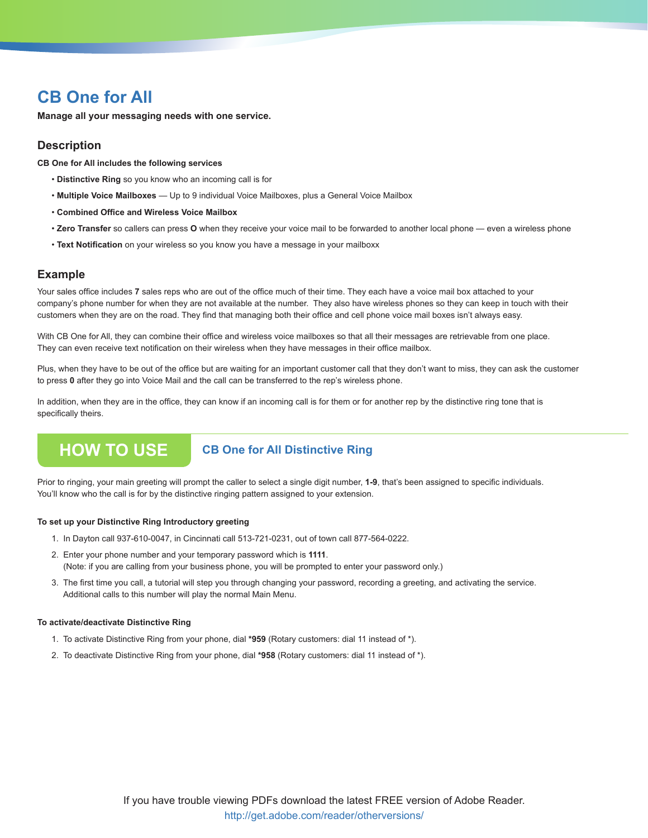**Manage all your messaging needs with one service.**

### **Description**

**CB One for All includes the following services**

- **Distinctive Ring** so you know who an incoming call is for
- **Multiple Voice Mailboxes** Up to 9 individual Voice Mailboxes, plus a General Voice Mailbox
- **Combined Office and Wireless Voice Mailbox**
- **Zero Transfer** so callers can press **O** when they receive your voice mail to be forwarded to another local phone even a wireless phone
- **Text Notification** on your wireless so you know you have a message in your mailboxx

### **Example**

Your sales office includes 7 sales reps who are out of the office much of their time. They each have a voice mail box attached to your company's phone number for when they are not available at the number. They also have wireless phones so they can keep in touch with their customers when they are on the road. They find that managing both their office and cell phone voice mail boxes isn't always easy.

With CB One for All, they can combine their office and wireless voice mailboxes so that all their messages are retrievable from one place. They can even receive text notification on their wireless when they have messages in their office mailbox.

Plus, when they have to be out of the office but are waiting for an important customer call that they don't want to miss, they can ask the customer to press **0** after they go into Voice Mail and the call can be transferred to the rep's wireless phone.

In addition, when they are in the office, they can know if an incoming call is for them or for another rep by the distinctive ring tone that is specifically theirs.

## **How To Use CB One for All Distinctive Ring**

Prior to ringing, your main greeting will prompt the caller to select a single digit number, **1-9**, that's been assigned to specific individuals. You'll know who the call is for by the distinctive ringing pattern assigned to your extension.

### **To set up your Distinctive Ring Introductory greeting**

- 1. In Dayton call 937-610-0047, in Cincinnati call 513-721-0231, out of town call 877-564-0222.
- 2. Enter your phone number and your temporary password which is **1111**. (Note: if you are calling from your business phone, you will be prompted to enter your password only.)
- 3. The first time you call, a tutorial will step you through changing your password, recording a greeting, and activating the service. Additional calls to this number will play the normal Main Menu.

### **To activate/deactivate Distinctive Ring**

- 1. To activate Distinctive Ring from your phone, dial **\*959** (Rotary customers: dial 11 instead of \*).
- 2. To deactivate Distinctive Ring from your phone, dial **\*958** (Rotary customers: dial 11 instead of \*).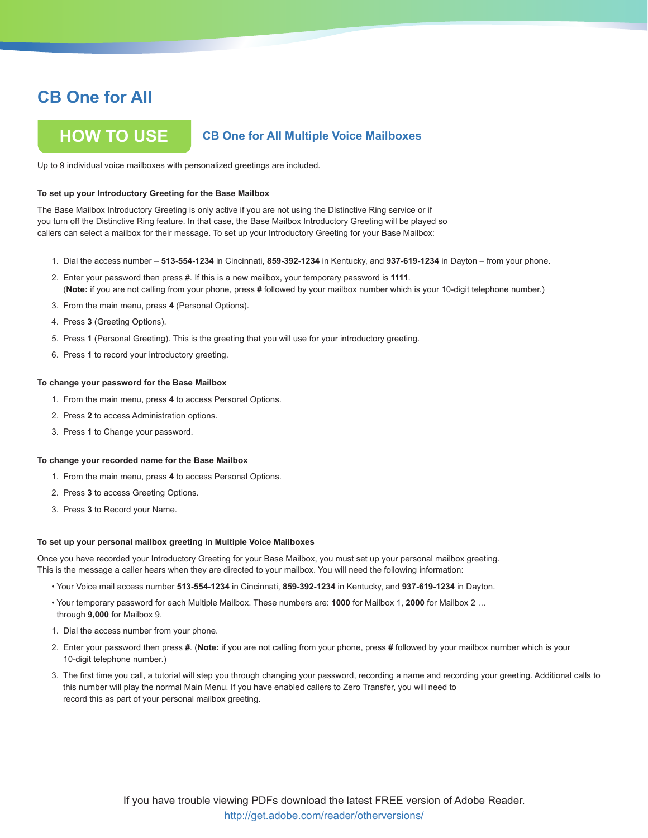## **How To Use CB One for All Multiple Voice Mailboxes**

Up to 9 individual voice mailboxes with personalized greetings are included.

#### **To set up your Introductory Greeting for the Base Mailbox**

The Base Mailbox Introductory Greeting is only active if you are not using the Distinctive Ring service or if you turn off the Distinctive Ring feature. In that case, the Base Mailbox Introductory Greeting will be played so callers can select a mailbox for their message. To set up your Introductory Greeting for your Base Mailbox:

- 1. Dial the access number **513-554-1234** in Cincinnati, **859-392-1234** in Kentucky, and **937-619-1234** in Dayton from your phone.
- 2. Enter your password then press #. If this is a new mailbox, your temporary password is **1111**. (**Note:** if you are not calling from your phone, press **#** followed by your mailbox number which is your 10-digit telephone number.)
- 3. From the main menu, press **4** (Personal Options).
- 4. Press **3** (Greeting Options).
- 5. Press **1** (Personal Greeting). This is the greeting that you will use for your introductory greeting.
- 6. Press **1** to record your introductory greeting.

#### **To change your password for the Base Mailbox**

- 1. From the main menu, press **4** to access Personal Options.
- 2. Press **2** to access Administration options.
- 3. Press **1** to Change your password.

#### **To change your recorded name for the Base Mailbox**

- 1. From the main menu, press **4** to access Personal Options.
- 2. Press **3** to access Greeting Options.
- 3. Press **3** to Record your Name.

#### **To set up your personal mailbox greeting in Multiple Voice Mailboxes**

Once you have recorded your Introductory Greeting for your Base Mailbox, you must set up your personal mailbox greeting. This is the message a caller hears when they are directed to your mailbox. You will need the following information:

- Your Voice mail access number **513-554-1234** in Cincinnati, **859-392-1234** in Kentucky, and **937-619-1234** in Dayton.
- Your temporary password for each Multiple Mailbox. These numbers are: **1000** for Mailbox 1, **2000** for Mailbox 2 … through **9,000** for Mailbox 9.
- 1. Dial the access number from your phone.
- 2. Enter your password then press **#**. (**Note:** if you are not calling from your phone, press **#** followed by your mailbox number which is your 10-digit telephone number.)
- 3. The first time you call, a tutorial will step you through changing your password, recording a name and recording your greeting. Additional calls to this number will play the normal Main Menu. If you have enabled callers to Zero Transfer, you will need to record this as part of your personal mailbox greeting.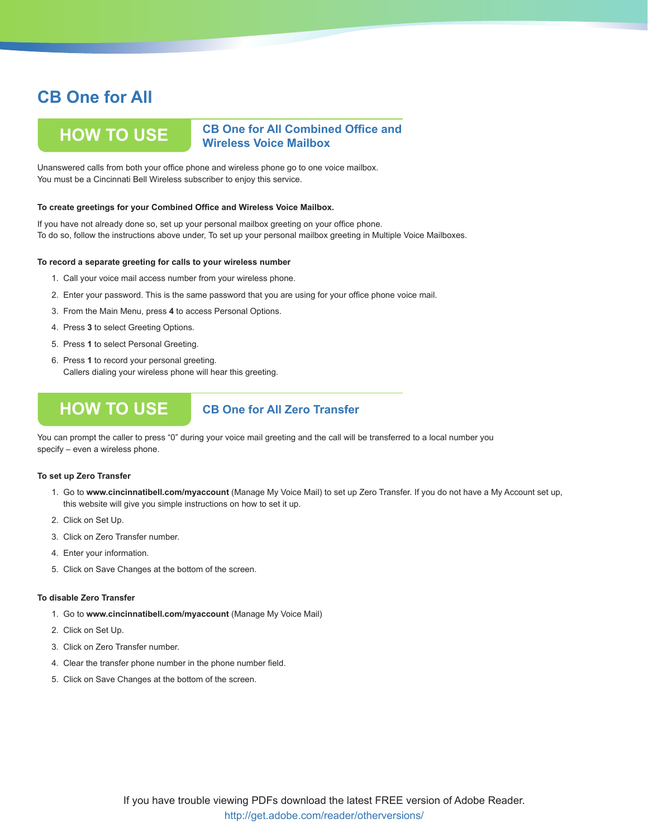**How To Use**

## **CB One for All Combined Office and Wireless Voice Mailbox**

Unanswered calls from both your office phone and wireless phone go to one voice mailbox. You must be a Cincinnati Bell Wireless subscriber to enjoy this service.

### **To create greetings for your Combined Office and Wireless Voice Mailbox.**

If you have not already done so, set up your personal mailbox greeting on your office phone. To do so, follow the instructions above under, To set up your personal mailbox greeting in Multiple Voice Mailboxes.

#### **To record a separate greeting for calls to your wireless number**

- 1. Call your voice mail access number from your wireless phone.
- 2. Enter your password. This is the same password that you are using for your office phone voice mail.
- 3. From the Main Menu, press **4** to access Personal Options.
- 4. Press **3** to select Greeting Options.
- 5. Press **1** to select Personal Greeting.
- 6. Press **1** to record your personal greeting. Callers dialing your wireless phone will hear this greeting.

## **How To Use**

### **CB One for All Zero Transfer**

You can prompt the caller to press "0" during your voice mail greeting and the call will be transferred to a local number you specify – even a wireless phone.

### **To set up Zero Transfer**

- 1. Go to **www.cincinnatibell.com/myaccount** (Manage My Voice Mail) to set up Zero Transfer. If you do not have a My Account set up, this website will give you simple instructions on how to set it up.
- 2. Click on Set Up.
- 3. Click on Zero Transfer number.
- 4. Enter your information.
- 5. Click on Save Changes at the bottom of the screen.

#### **To disable Zero Transfer**

- 1. Go to **www.cincinnatibell.com/myaccount** (Manage My Voice Mail)
- 2. Click on Set Up.
- 3. Click on Zero Transfer number.
- 4. Clear the transfer phone number in the phone number field.
- 5. Click on Save Changes at the bottom of the screen.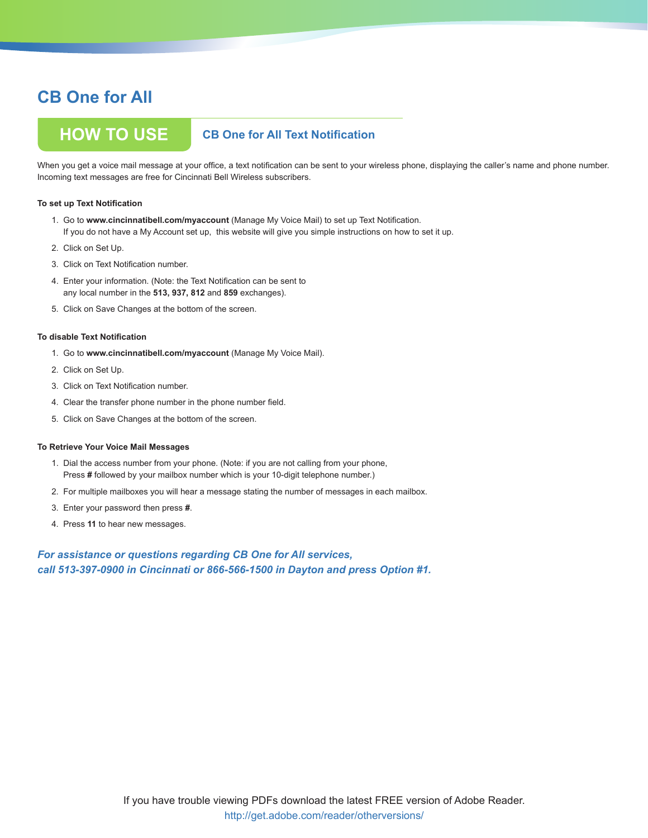## **How To Use CB One for All Text Notification**

When you get a voice mail message at your office, a text notification can be sent to your wireless phone, displaying the caller's name and phone number. Incoming text messages are free for Cincinnati Bell Wireless subscribers.

### **To set up Text Notification**

- 1. Go to **www.cincinnatibell.com/myaccount** (Manage My Voice Mail) to set up Text Notification. If you do not have a My Account set up, this website will give you simple instructions on how to set it up.
- 2. Click on Set Up.
- 3. Click on Text Notification number.
- 4. Enter your information. (Note: the Text Notification can be sent to any local number in the **513, 937, 812** and **859** exchanges).
- 5. Click on Save Changes at the bottom of the screen.

#### **To disable Text Notification**

- 1. Go to **www.cincinnatibell.com/myaccount** (Manage My Voice Mail).
- 2. Click on Set Up.
- 3. Click on Text Notification number.
- 4. Clear the transfer phone number in the phone number field.
- 5. Click on Save Changes at the bottom of the screen.

### **To Retrieve Your Voice Mail Messages**

- 1. Dial the access number from your phone. (Note: if you are not calling from your phone, Press **#** followed by your mailbox number which is your 10-digit telephone number.)
- 2. For multiple mailboxes you will hear a message stating the number of messages in each mailbox.
- 3. Enter your password then press **#**.
- 4. Press **11** to hear new messages.

### *For assistance or questions regarding CB One for All services, call 513-397-0900 in Cincinnati or 866-566-1500 in Dayton and press Option #1.*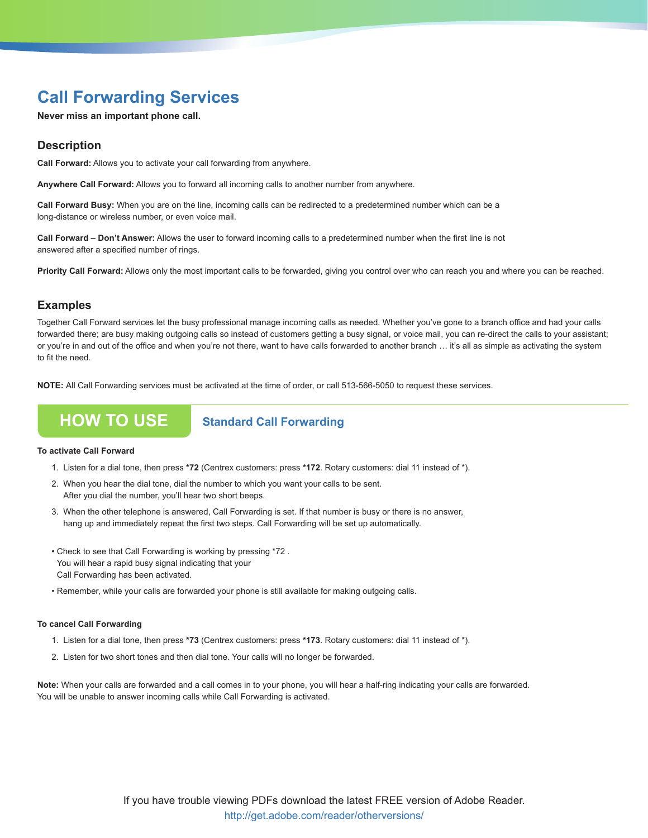## **Call Forwarding Services**

**Never miss an important phone call.**

### **Description**

**Call Forward:** Allows you to activate your call forwarding from anywhere.

**Anywhere Call Forward:** Allows you to forward all incoming calls to another number from anywhere.

**Call Forward Busy:** When you are on the line, incoming calls can be redirected to a predetermined number which can be a long-distance or wireless number, or even voice mail.

**Call Forward – Don't Answer:** Allows the user to forward incoming calls to a predetermined number when the first line is not answered after a specified number of rings.

**Priority Call Forward:** Allows only the most important calls to be forwarded, giving you control over who can reach you and where you can be reached.

### **Examples**

Together Call Forward services let the busy professional manage incoming calls as needed. Whether you've gone to a branch office and had your calls forwarded there; are busy making outgoing calls so instead of customers getting a busy signal, or voice mail, you can re-direct the calls to your assistant; or you're in and out of the office and when you're not there, want to have calls forwarded to another branch … it's all as simple as activating the system to fit the need.

**NOTE:** All Call Forwarding services must be activated at the time of order, or call 513-566-5050 to request these services.

## **HOW TO USE** Standard Call Forwarding

### **To activate Call Forward**

- 1. Listen for a dial tone, then press **\*72** (Centrex customers: press **\*172**. Rotary customers: dial 11 instead of \*).
- 2. When you hear the dial tone, dial the number to which you want your calls to be sent. After you dial the number, you'll hear two short beeps.
- 3. When the other telephone is answered, Call Forwarding is set. If that number is busy or there is no answer, hang up and immediately repeat the first two steps. Call Forwarding will be set up automatically.
- Check to see that Call Forwarding is working by pressing \*72 . You will hear a rapid busy signal indicating that your Call Forwarding has been activated.
- Remember, while your calls are forwarded your phone is still available for making outgoing calls.

### **To cancel Call Forwarding**

- 1. Listen for a dial tone, then press **\*73** (Centrex customers: press **\*173**. Rotary customers: dial 11 instead of \*).
- 2. Listen for two short tones and then dial tone. Your calls will no longer be forwarded.

**Note:** When your calls are forwarded and a call comes in to your phone, you will hear a half-ring indicating your calls are forwarded. You will be unable to answer incoming calls while Call Forwarding is activated.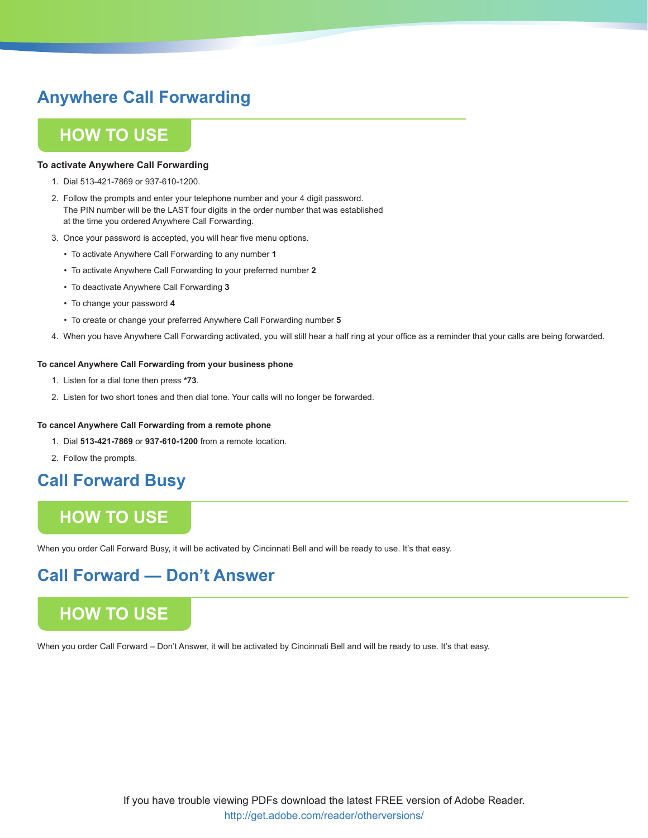## **Anywhere Call Forwarding**

## **How To Use**

### **To activate Anywhere Call Forwarding**

- 1. Dial 513-421-7869 or 937-610-1200.
- 2. Follow the prompts and enter your telephone number and your 4 digit password. The PIN number will be the LAST four digits in the order number that was established at the time you ordered Anywhere Call Forwarding.
- 3. Once your password is accepted, you will hear five menu options.
	- To activate Anywhere Call Forwarding to any number **1**
	- To activate Anywhere Call Forwarding to your preferred number **2**
	- To deactivate Anywhere Call Forwarding **3**
	- To change your password **4**
	- To create or change your preferred Anywhere Call Forwarding number **5**
- 4. When you have Anywhere Call Forwarding activated, you will still hear a half ring at your office as a reminder that your calls are being forwarded.

### **To cancel Anywhere Call Forwarding from your business phone**

- 1. Listen for a dial tone then press **\*73**.
- 2. Listen for two short tones and then dial tone. Your calls will no longer be forwarded.

### **To cancel Anywhere Call Forwarding from a remote phone**

- 1. Dial **513-421-7869** or **937-610-1200** from a remote location.
- 2. Follow the prompts.

## **Call Forward Busy**

## **How To Use**

When you order Call Forward Busy, it will be activated by Cincinnati Bell and will be ready to use. It's that easy.

## **Call Forward — Don't Answer**

## **How To Use**

When you order Call Forward – Don't Answer, it will be activated by Cincinnati Bell and will be ready to use. It's that easy.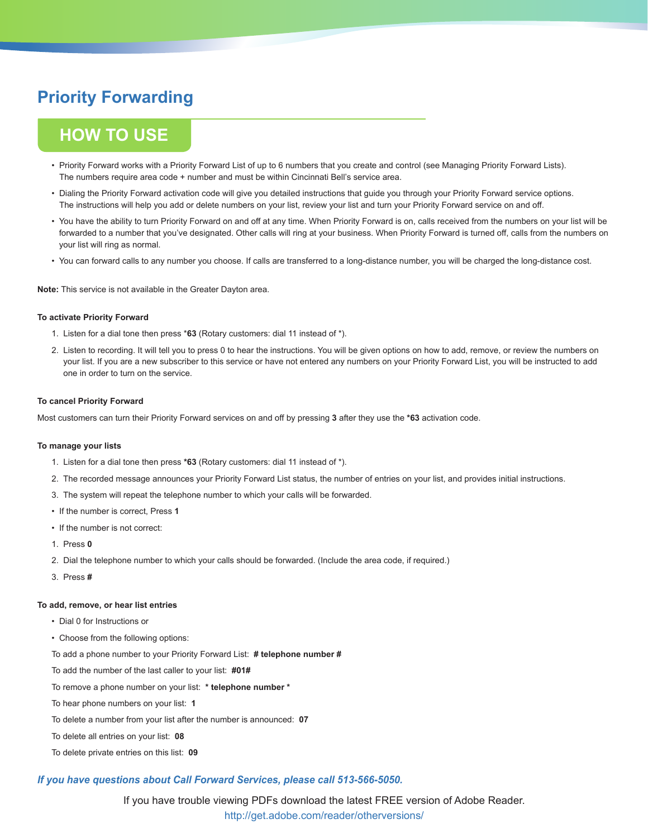## **Priority Forwarding**

## **How To Use**

- Priority Forward works with a Priority Forward List of up to 6 numbers that you create and control (see Managing Priority Forward Lists). The numbers require area code + number and must be within Cincinnati Bell's service area.
- Dialing the Priority Forward activation code will give you detailed instructions that guide you through your Priority Forward service options. The instructions will help you add or delete numbers on your list, review your list and turn your Priority Forward service on and off.
- You have the ability to turn Priority Forward on and off at any time. When Priority Forward is on, calls received from the numbers on your list will be forwarded to a number that you've designated. Other calls will ring at your business. When Priority Forward is turned off, calls from the numbers on your list will ring as normal.
- You can forward calls to any number you choose. If calls are transferred to a long-distance number, you will be charged the long-distance cost.

**Note:** This service is not available in the Greater Dayton area.

### **To activate Priority Forward**

- 1. Listen for a dial tone then press \***63** (Rotary customers: dial 11 instead of \*).
- 2. Listen to recording. It will tell you to press 0 to hear the instructions. You will be given options on how to add, remove, or review the numbers on your list. If you are a new subscriber to this service or have not entered any numbers on your Priority Forward List, you will be instructed to add one in order to turn on the service.

### **To cancel Priority Forward**

Most customers can turn their Priority Forward services on and off by pressing **3** after they use the **\*63** activation code.

### **To manage your lists**

- 1. Listen for a dial tone then press **\*63** (Rotary customers: dial 11 instead of \*).
- 2. The recorded message announces your Priority Forward List status, the number of entries on your list, and provides initial instructions.
- 3. The system will repeat the telephone number to which your calls will be forwarded.
- If the number is correct, Press **1**
- If the number is not correct:
- 1. Press **0**
- 2. Dial the telephone number to which your calls should be forwarded. (Include the area code, if required.)
- 3. Press **#**

### **To add, remove, or hear list entries**

- Dial 0 for Instructions or
- Choose from the following options:

To add a phone number to your Priority Forward List: **# telephone number #**

To add the number of the last caller to your list: **#01#**

- To remove a phone number on your list: **\* telephone number \***
- To hear phone numbers on your list: **1**
- To delete a number from your list after the number is announced: **07**

To delete all entries on your list: **08**

To delete private entries on this list: **09**

### *If you have questions about Call Forward Services, please call 513-566-5050.*

If you have trouble viewing PDFs download the latest FREE version of Adobe Reader. http://get.adobe.com/reader/otherversions/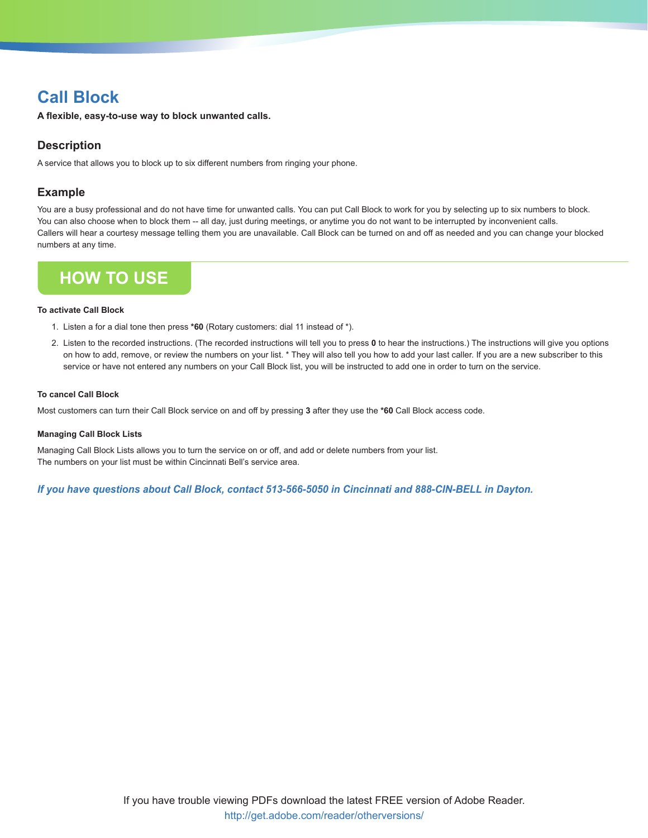## **Call Block**

**A flexible, easy-to-use way to block unwanted calls.**

## **Description**

A service that allows you to block up to six different numbers from ringing your phone.

## **Example**

You are a busy professional and do not have time for unwanted calls. You can put Call Block to work for you by selecting up to six numbers to block. You can also choose when to block them -- all day, just during meetings, or anytime you do not want to be interrupted by inconvenient calls. Callers will hear a courtesy message telling them you are unavailable. Call Block can be turned on and off as needed and you can change your blocked numbers at any time.



### **To activate Call Block**

- 1. Listen a for a dial tone then press **\*60** (Rotary customers: dial 11 instead of \*).
- 2. Listen to the recorded instructions. (The recorded instructions will tell you to press **0** to hear the instructions.) The instructions will give you options on how to add, remove, or review the numbers on your list. \* They will also tell you how to add your last caller. If you are a new subscriber to this service or have not entered any numbers on your Call Block list, you will be instructed to add one in order to turn on the service.

### **To cancel Call Block**

Most customers can turn their Call Block service on and off by pressing **3** after they use the **\*60** Call Block access code.

### **Managing Call Block Lists**

Managing Call Block Lists allows you to turn the service on or off, and add or delete numbers from your list. The numbers on your list must be within Cincinnati Bell's service area.

*If you have questions about Call Block, contact 513-566-5050 in Cincinnati and 888-CIN-BELL in Dayton.*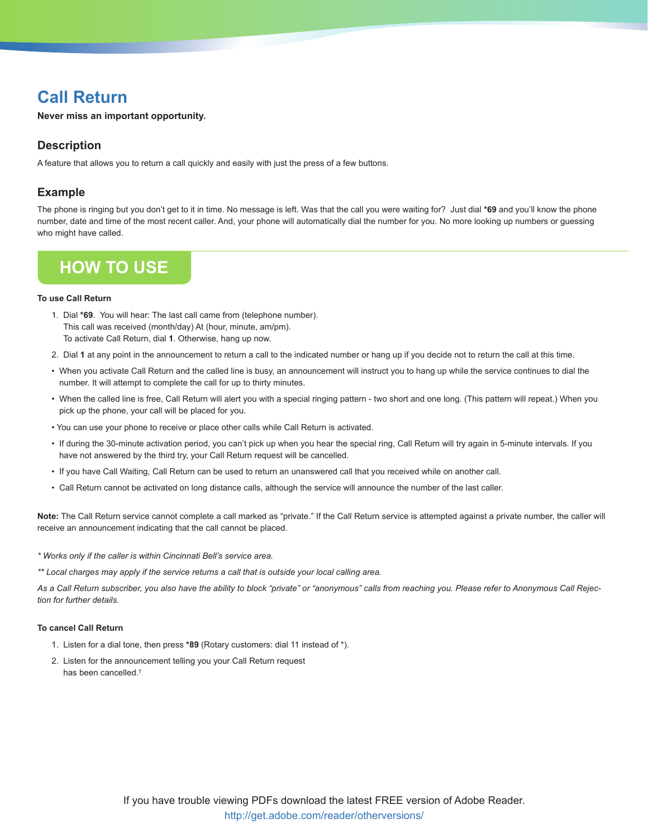## **Call Return**

**Never miss an important opportunity.** 

## **Description**

A feature that allows you to return a call quickly and easily with just the press of a few buttons.

## **Example**

The phone is ringing but you don't get to it in time. No message is left. Was that the call you were waiting for? Just dial **\*69** and you'll know the phone number, date and time of the most recent caller. And, your phone will automatically dial the number for you. No more looking up numbers or guessing who might have called.

## **How To Use**

### **To use Call Return**

- 1. Dial **\*69**. You will hear: The last call came from (telephone number). This call was received (month/day) At (hour, minute, am/pm). To activate Call Return, dial **1**. Otherwise, hang up now.
- 2. Dial **1** at any point in the announcement to return a call to the indicated number or hang up if you decide not to return the call at this time.
- When you activate Call Return and the called line is busy, an announcement will instruct you to hang up while the service continues to dial the number. It will attempt to complete the call for up to thirty minutes.
- When the called line is free, Call Return will alert you with a special ringing pattern two short and one long. (This pattern will repeat.) When you pick up the phone, your call will be placed for you.
- You can use your phone to receive or place other calls while Call Return is activated.
- If during the 30-minute activation period, you can't pick up when you hear the special ring, Call Return will try again in 5-minute intervals. If you have not answered by the third try, your Call Return request will be cancelled.
- If you have Call Waiting, Call Return can be used to return an unanswered call that you received while on another call.
- Call Return cannot be activated on long distance calls, although the service will announce the number of the last caller.

**Note:** The Call Return service cannot complete a call marked as "private." If the Call Return service is attempted against a private number, the caller will receive an announcement indicating that the call cannot be placed.

*\* Works only if the caller is within Cincinnati Bell's service area.*

*\*\* Local charges may apply if the service returns a call that is outside your local calling area.*

*As a Call Return subscriber, you also have the ability to block "private" or "anonymous" calls from reaching you. Please refer to Anonymous Call Rejection for further details.*

### **To cancel Call Return**

- 1. Listen for a dial tone, then press **\*89** (Rotary customers: dial 11 instead of \*).
- 2. Listen for the announcement telling you your Call Return request has been cancelled.†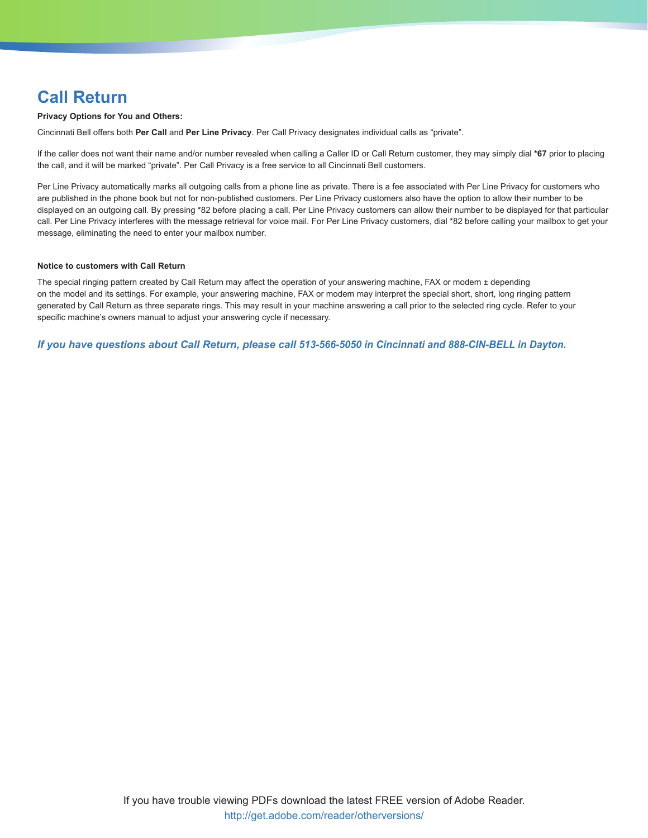## **Call Return**

### **Privacy Options for You and Others:**

Cincinnati Bell offers both **Per Call** and **Per Line Privacy**. Per Call Privacy designates individual calls as "private".

If the caller does not want their name and/or number revealed when calling a Caller ID or Call Return customer, they may simply dial **\*67** prior to placing the call, and it will be marked "private". Per Call Privacy is a free service to all Cincinnati Bell customers.

Per Line Privacy automatically marks all outgoing calls from a phone line as private. There is a fee associated with Per Line Privacy for customers who are published in the phone book but not for non-published customers. Per Line Privacy customers also have the option to allow their number to be displayed on an outgoing call. By pressing \*82 before placing a call, Per Line Privacy customers can allow their number to be displayed for that particular call. Per Line Privacy interferes with the message retrieval for voice mail. For Per Line Privacy customers, dial \*82 before calling your mailbox to get your message, eliminating the need to enter your mailbox number.

### **Notice to customers with Call Return**

The special ringing pattern created by Call Return may affect the operation of your answering machine, FAX or modem ± depending on the model and its settings. For example, your answering machine, FAX or modem may interpret the special short, short, long ringing pattern generated by Call Return as three separate rings. This may result in your machine answering a call prior to the selected ring cycle. Refer to your specific machine's owners manual to adjust your answering cycle if necessary.

*If you have questions about Call Return, please call 513-566-5050 in Cincinnati and 888-CIN-BELL in Dayton.*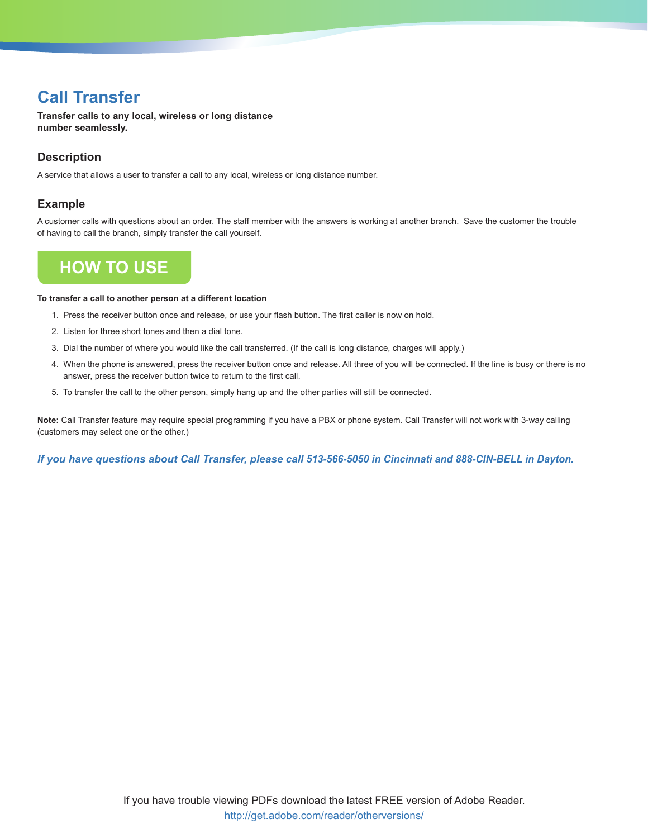## **Call Transfer**

**Transfer calls to any local, wireless or long distance number seamlessly.**

## **Description**

A service that allows a user to transfer a call to any local, wireless or long distance number.

## **Example**

A customer calls with questions about an order. The staff member with the answers is working at another branch. Save the customer the trouble of having to call the branch, simply transfer the call yourself.

## **How To Use**

#### **To transfer a call to another person at a different location**

- 1. Press the receiver button once and release, or use your flash button. The first caller is now on hold.
- 2. Listen for three short tones and then a dial tone.
- 3. Dial the number of where you would like the call transferred. (If the call is long distance, charges will apply.)
- 4. When the phone is answered, press the receiver button once and release. All three of you will be connected. If the line is busy or there is no answer, press the receiver button twice to return to the first call.
- 5. To transfer the call to the other person, simply hang up and the other parties will still be connected.

**Note:** Call Transfer feature may require special programming if you have a PBX or phone system. Call Transfer will not work with 3-way calling (customers may select one or the other.)

*If you have questions about Call Transfer, please call 513-566-5050 in Cincinnati and 888-CIN-BELL in Dayton.*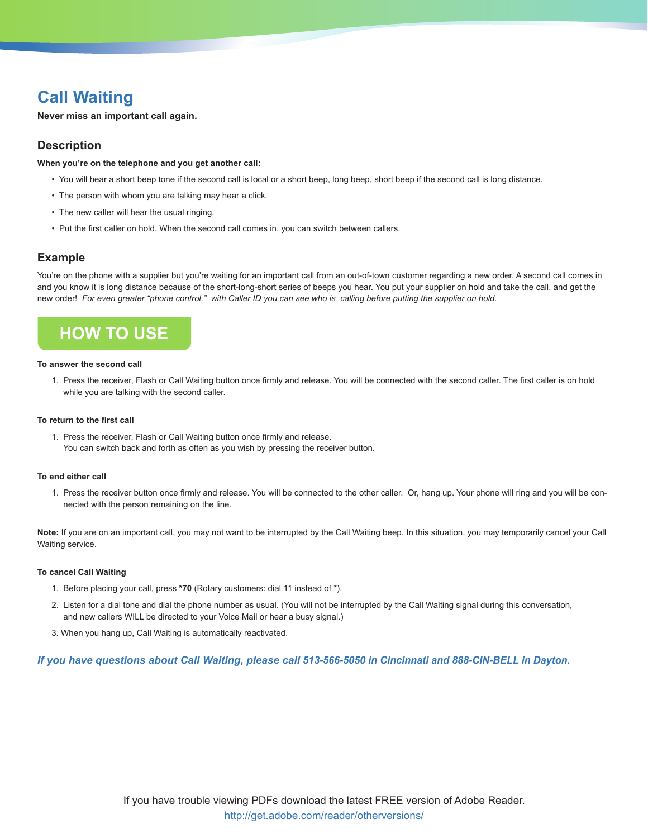## **Call Waiting**

**Never miss an important call again.**

## **Description**

**When you're on the telephone and you get another call:**

- You will hear a short beep tone if the second call is local or a short beep, long beep, short beep if the second call is long distance.
- The person with whom you are talking may hear a click.
- The new caller will hear the usual ringing.
- Put the first caller on hold. When the second call comes in, you can switch between callers.

### **Example**

You're on the phone with a supplier but you're waiting for an important call from an out-of-town customer regarding a new order. A second call comes in and you know it is long distance because of the short-long-short series of beeps you hear. You put your supplier on hold and take the call, and get the new order! *For even greater "phone control," with Caller ID you can see who is calling before putting the supplier on hold.*

## **How To Use**

#### **To answer the second call**

1. Press the receiver, Flash or Call Waiting button once firmly and release. You will be connected with the second caller. The first caller is on hold while you are talking with the second caller.

#### **To return to the first call**

1. Press the receiver, Flash or Call Waiting button once firmly and release. You can switch back and forth as often as you wish by pressing the receiver button.

#### **To end either call**

1. Press the receiver button once firmly and release. You will be connected to the other caller. Or, hang up. Your phone will ring and you will be connected with the person remaining on the line.

**Note:** If you are on an important call, you may not want to be interrupted by the Call Waiting beep. In this situation, you may temporarily cancel your Call Waiting service.

#### **To cancel Call Waiting**

- 1. Before placing your call, press **\*70** (Rotary customers: dial 11 instead of \*).
- 2. Listen for a dial tone and dial the phone number as usual. (You will not be interrupted by the Call Waiting signal during this conversation, and new callers WILL be directed to your Voice Mail or hear a busy signal.)
- 3. When you hang up, Call Waiting is automatically reactivated.

*If you have questions about Call Waiting, please call 513-566-5050 in Cincinnati and 888-CIN-BELL in Dayton.*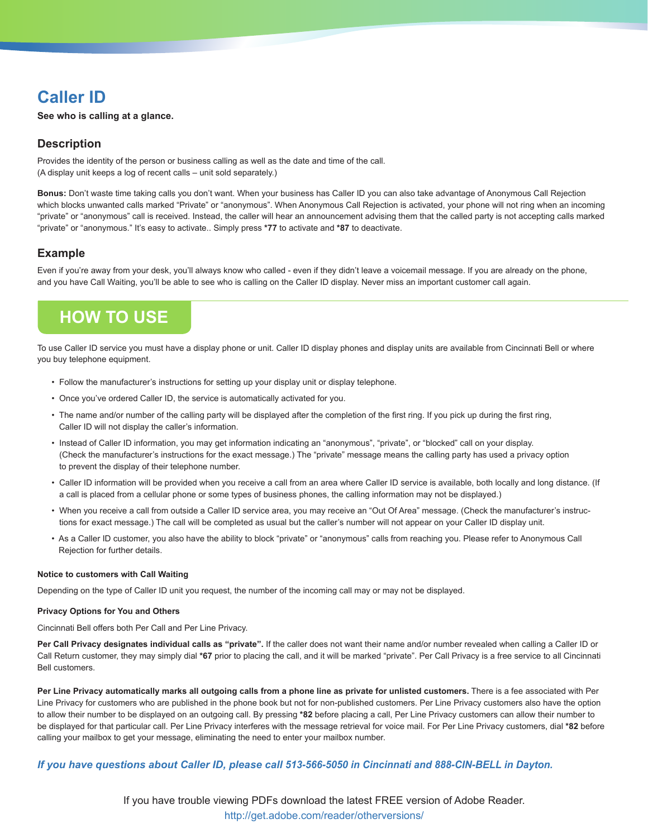## **Caller ID**

**See who is calling at a glance.**

## **Description**

Provides the identity of the person or business calling as well as the date and time of the call. (A display unit keeps a log of recent calls – unit sold separately.)

**Bonus:** Don't waste time taking calls you don't want. When your business has Caller ID you can also take advantage of Anonymous Call Rejection which blocks unwanted calls marked "Private" or "anonymous". When Anonymous Call Rejection is activated, your phone will not ring when an incoming "private" or "anonymous" call is received. Instead, the caller will hear an announcement advising them that the called party is not accepting calls marked "private" or "anonymous." It's easy to activate.. Simply press **\*77** to activate and **\*87** to deactivate.

## **Example**

Even if you're away from your desk, you'll always know who called - even if they didn't leave a voicemail message. If you are already on the phone, and you have Call Waiting, you'll be able to see who is calling on the Caller ID display. Never miss an important customer call again.

## **How To Use**

To use Caller ID service you must have a display phone or unit. Caller ID display phones and display units are available from Cincinnati Bell or where you buy telephone equipment.

- Follow the manufacturer's instructions for setting up your display unit or display telephone.
- Once you've ordered Caller ID, the service is automatically activated for you.
- The name and/or number of the calling party will be displayed after the completion of the first ring. If you pick up during the first ring, Caller ID will not display the caller's information.
- Instead of Caller ID information, you may get information indicating an "anonymous", "private", or "blocked" call on your display. (Check the manufacturer's instructions for the exact message.) The "private" message means the calling party has used a privacy option to prevent the display of their telephone number.
- Caller ID information will be provided when you receive a call from an area where Caller ID service is available, both locally and long distance. (If a call is placed from a cellular phone or some types of business phones, the calling information may not be displayed.)
- When you receive a call from outside a Caller ID service area, you may receive an "Out Of Area" message. (Check the manufacturer's instructions for exact message.) The call will be completed as usual but the caller's number will not appear on your Caller ID display unit.
- As a Caller ID customer, you also have the ability to block "private" or "anonymous" calls from reaching you. Please refer to Anonymous Call Rejection for further details.

### **Notice to customers with Call Waiting**

Depending on the type of Caller ID unit you request, the number of the incoming call may or may not be displayed.

### **Privacy Options for You and Others**

Cincinnati Bell offers both Per Call and Per Line Privacy.

**Per Call Privacy designates individual calls as "private".** If the caller does not want their name and/or number revealed when calling a Caller ID or Call Return customer, they may simply dial **\*67** prior to placing the call, and it will be marked "private". Per Call Privacy is a free service to all Cincinnati Bell customers.

**Per Line Privacy automatically marks all outgoing calls from a phone line as private for unlisted customers.** There is a fee associated with Per Line Privacy for customers who are published in the phone book but not for non-published customers. Per Line Privacy customers also have the option to allow their number to be displayed on an outgoing call. By pressing **\*82** before placing a call, Per Line Privacy customers can allow their number to be displayed for that particular call. Per Line Privacy interferes with the message retrieval for voice mail. For Per Line Privacy customers, dial **\*82** before calling your mailbox to get your message, eliminating the need to enter your mailbox number.

### *If you have questions about Caller ID, please call 513-566-5050 in Cincinnati and 888-CIN-BELL in Dayton.*

If you have trouble viewing PDFs download the latest FREE version of Adobe Reader. http://get.adobe.com/reader/otherversions/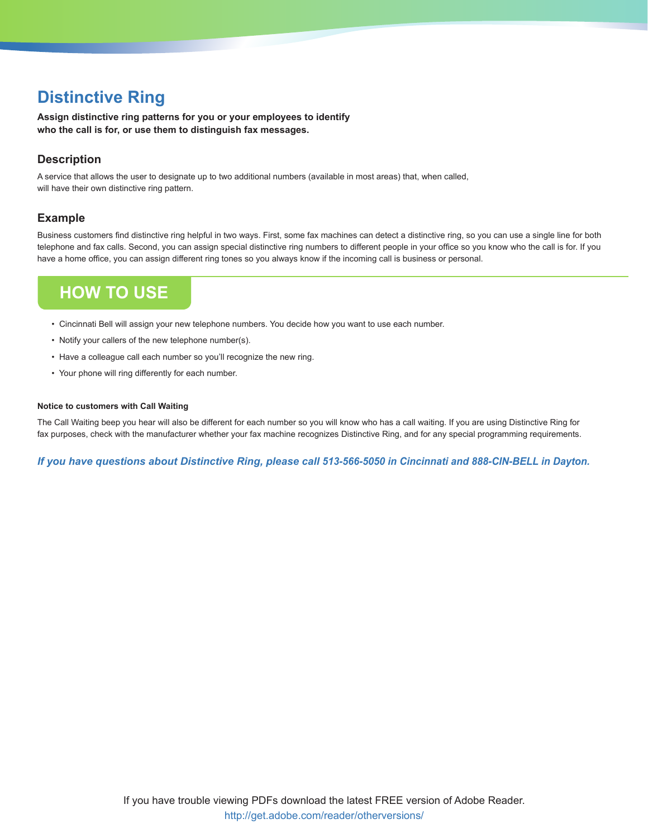## **Distinctive Ring**

**Assign distinctive ring patterns for you or your employees to identify who the call is for, or use them to distinguish fax messages.**

## **Description**

A service that allows the user to designate up to two additional numbers (available in most areas) that, when called, will have their own distinctive ring pattern.

## **Example**

Business customers find distinctive ring helpful in two ways. First, some fax machines can detect a distinctive ring, so you can use a single line for both telephone and fax calls. Second, you can assign special distinctive ring numbers to different people in your office so you know who the call is for. If you have a home office, you can assign different ring tones so you always know if the incoming call is business or personal.

## **How To Use**

- Cincinnati Bell will assign your new telephone numbers. You decide how you want to use each number.
- Notify your callers of the new telephone number(s).
- Have a colleague call each number so you'll recognize the new ring.
- Your phone will ring differently for each number.

### **Notice to customers with Call Waiting**

The Call Waiting beep you hear will also be different for each number so you will know who has a call waiting. If you are using Distinctive Ring for fax purposes, check with the manufacturer whether your fax machine recognizes Distinctive Ring, and for any special programming requirements.

*If you have questions about Distinctive Ring, please call 513-566-5050 in Cincinnati and 888-CIN-BELL in Dayton.*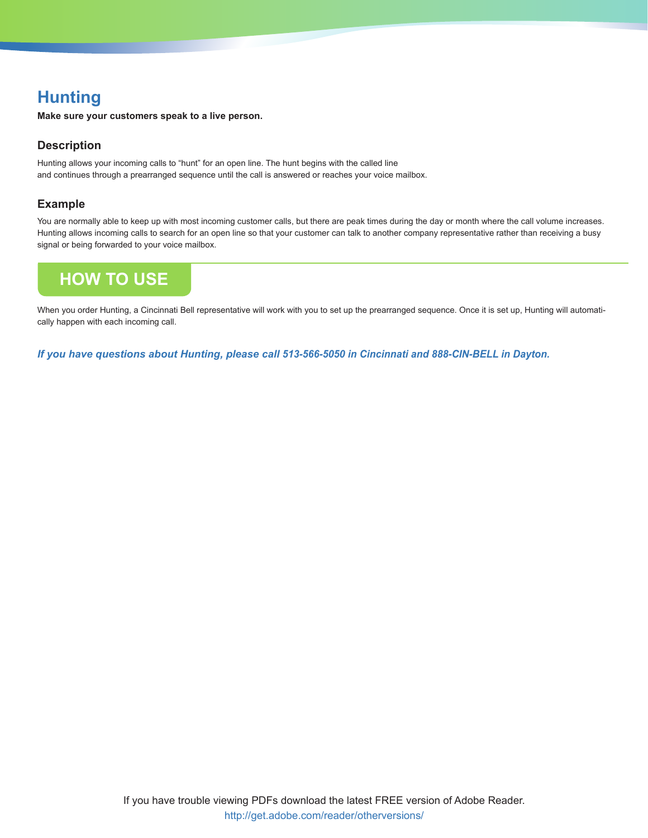# **Hunting**

**Make sure your customers speak to a live person.**

## **Description**

Hunting allows your incoming calls to "hunt" for an open line. The hunt begins with the called line and continues through a prearranged sequence until the call is answered or reaches your voice mailbox.

## **Example**

You are normally able to keep up with most incoming customer calls, but there are peak times during the day or month where the call volume increases. Hunting allows incoming calls to search for an open line so that your customer can talk to another company representative rather than receiving a busy signal or being forwarded to your voice mailbox.

# **How To Use**

When you order Hunting, a Cincinnati Bell representative will work with you to set up the prearranged sequence. Once it is set up, Hunting will automatically happen with each incoming call.

*If you have questions about Hunting, please call 513-566-5050 in Cincinnati and 888-CIN-BELL in Dayton.*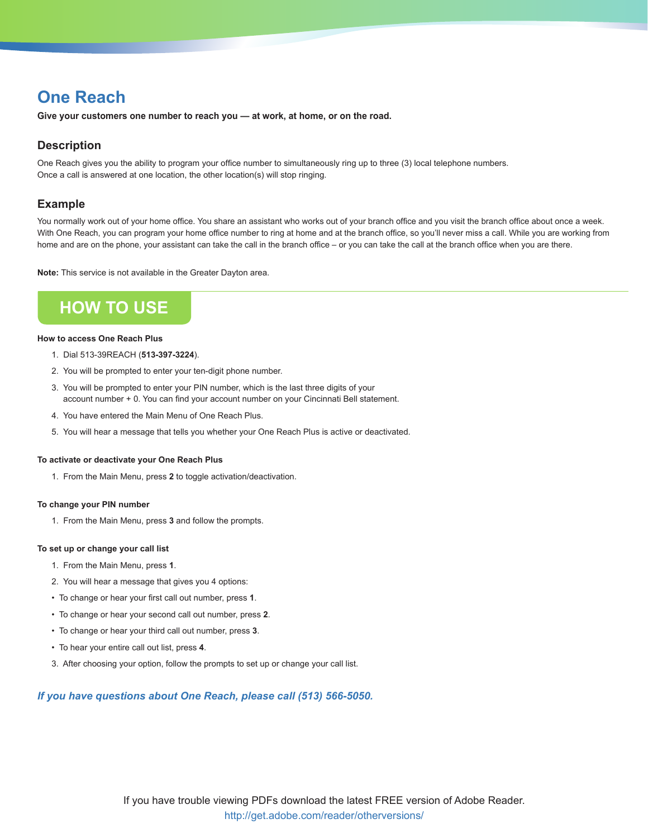## **One Reach**

**Give your customers one number to reach you — at work, at home, or on the road.**

## **Description**

One Reach gives you the ability to program your office number to simultaneously ring up to three (3) local telephone numbers. Once a call is answered at one location, the other location(s) will stop ringing.

### **Example**

You normally work out of your home office. You share an assistant who works out of your branch office and you visit the branch office about once a week. With One Reach, you can program your home office number to ring at home and at the branch office, so you'll never miss a call. While you are working from home and are on the phone, your assistant can take the call in the branch office – or you can take the call at the branch office when you are there.

**Note:** This service is not available in the Greater Dayton area.

## **How To Use**

### **How to access One Reach Plus**

- 1. Dial 513-39REACH (**513-397-3224**).
- 2. You will be prompted to enter your ten-digit phone number.
- 3. You will be prompted to enter your PIN number, which is the last three digits of your account number + 0. You can find your account number on your Cincinnati Bell statement.
- 4. You have entered the Main Menu of One Reach Plus.
- 5. You will hear a message that tells you whether your One Reach Plus is active or deactivated.

### **To activate or deactivate your One Reach Plus**

1. From the Main Menu, press **2** to toggle activation/deactivation.

### **To change your PIN number**

1. From the Main Menu, press **3** and follow the prompts.

### **To set up or change your call list**

- 1. From the Main Menu, press **1**.
- 2. You will hear a message that gives you 4 options:
- To change or hear your first call out number, press **1**.
- To change or hear your second call out number, press **2**.
- To change or hear your third call out number, press **3**.
- To hear your entire call out list, press **4**.
- 3. After choosing your option, follow the prompts to set up or change your call list.

### *If you have questions about One Reach, please call (513) 566-5050.*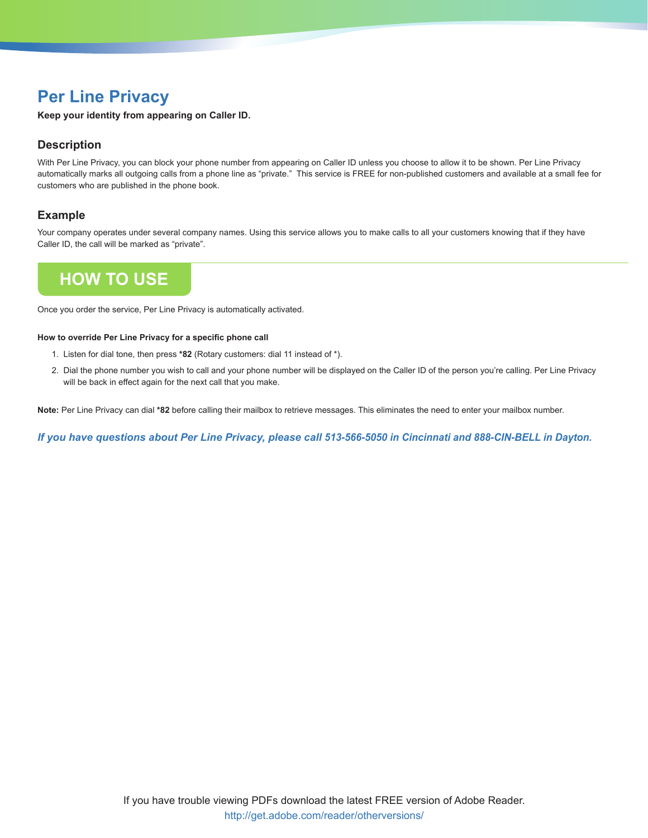## **Per Line Privacy**

**Keep your identity from appearing on Caller ID.**

## **Description**

With Per Line Privacy, you can block your phone number from appearing on Caller ID unless you choose to allow it to be shown. Per Line Privacy automatically marks all outgoing calls from a phone line as "private." This service is FREE for non-published customers and available at a small fee for customers who are published in the phone book.

## **Example**

Your company operates under several company names. Using this service allows you to make calls to all your customers knowing that if they have Caller ID, the call will be marked as "private".

## **How To Use**

Once you order the service, Per Line Privacy is automatically activated.

### **How to override Per Line Privacy for a specific phone call**

- 1. Listen for dial tone, then press **\*82** (Rotary customers: dial 11 instead of \*).
- 2. Dial the phone number you wish to call and your phone number will be displayed on the Caller ID of the person you're calling. Per Line Privacy will be back in effect again for the next call that you make.

**Note:** Per Line Privacy can dial **\*82** before calling their mailbox to retrieve messages. This eliminates the need to enter your mailbox number.

*If you have questions about Per Line Privacy, please call 513-566-5050 in Cincinnati and 888-CIN-BELL in Dayton.*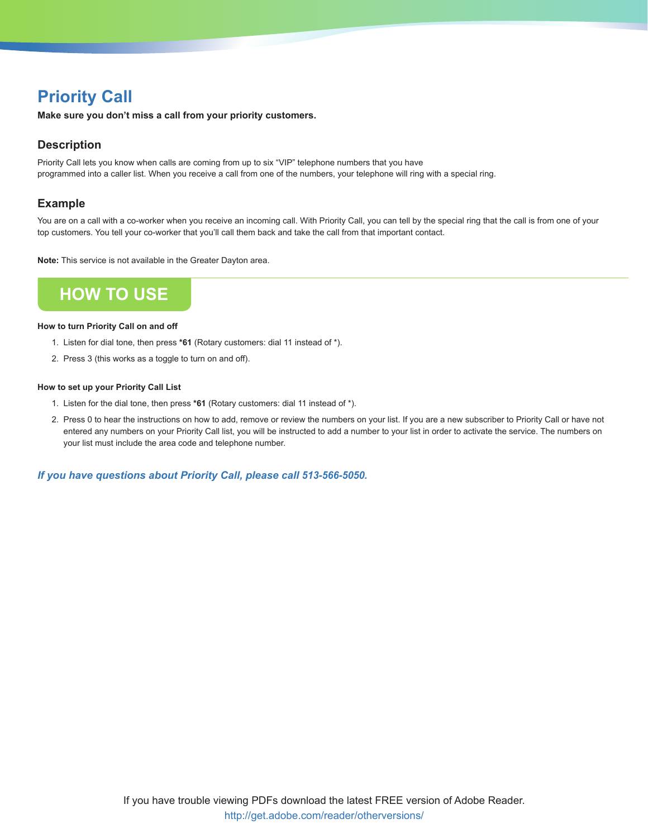# **Priority Call**

**Make sure you don't miss a call from your priority customers.**

## **Description**

Priority Call lets you know when calls are coming from up to six "VIP" telephone numbers that you have programmed into a caller list. When you receive a call from one of the numbers, your telephone will ring with a special ring.

## **Example**

You are on a call with a co-worker when you receive an incoming call. With Priority Call, you can tell by the special ring that the call is from one of your top customers. You tell your co-worker that you'll call them back and take the call from that important contact.

**Note:** This service is not available in the Greater Dayton area.

# **How To Use**

### **How to turn Priority Call on and off**

- 1. Listen for dial tone, then press **\*61** (Rotary customers: dial 11 instead of \*).
- 2. Press 3 (this works as a toggle to turn on and off).

### **How to set up your Priority Call List**

- 1. Listen for the dial tone, then press **\*61** (Rotary customers: dial 11 instead of \*).
- 2. Press 0 to hear the instructions on how to add, remove or review the numbers on your list. If you are a new subscriber to Priority Call or have not entered any numbers on your Priority Call list, you will be instructed to add a number to your list in order to activate the service. The numbers on your list must include the area code and telephone number.

*If you have questions about Priority Call, please call 513-566-5050.*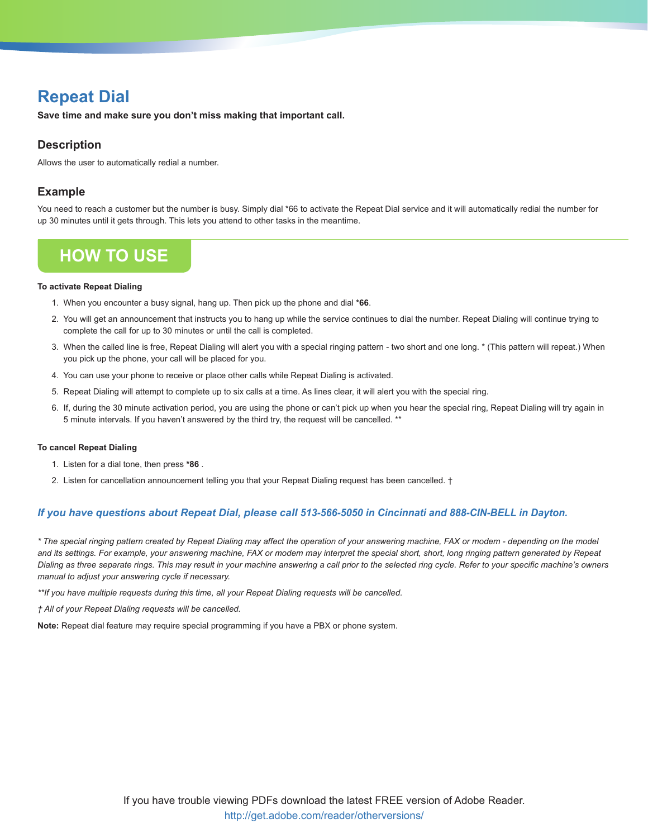## **Repeat Dial**

**Save time and make sure you don't miss making that important call.**

## **Description**

Allows the user to automatically redial a number.

## **Example**

You need to reach a customer but the number is busy. Simply dial \*66 to activate the Repeat Dial service and it will automatically redial the number for up 30 minutes until it gets through. This lets you attend to other tasks in the meantime.

## **How To Use**

### **To activate Repeat Dialing**

- 1. When you encounter a busy signal, hang up. Then pick up the phone and dial **\*66**.
- 2. You will get an announcement that instructs you to hang up while the service continues to dial the number. Repeat Dialing will continue trying to complete the call for up to 30 minutes or until the call is completed.
- 3. When the called line is free, Repeat Dialing will alert you with a special ringing pattern two short and one long. \* (This pattern will repeat.) When you pick up the phone, your call will be placed for you.
- 4. You can use your phone to receive or place other calls while Repeat Dialing is activated.
- 5. Repeat Dialing will attempt to complete up to six calls at a time. As lines clear, it will alert you with the special ring.
- 6. If, during the 30 minute activation period, you are using the phone or can't pick up when you hear the special ring, Repeat Dialing will try again in 5 minute intervals. If you haven't answered by the third try, the request will be cancelled. \*\*

### **To cancel Repeat Dialing**

- 1. Listen for a dial tone, then press **\*86** .
- 2. Listen for cancellation announcement telling you that your Repeat Dialing request has been cancelled. †

### *If you have questions about Repeat Dial, please call 513-566-5050 in Cincinnati and 888-CIN-BELL in Dayton.*

*\* The special ringing pattern created by Repeat Dialing may affect the operation of your answering machine, FAX or modem - depending on the model and its settings. For example, your answering machine, FAX or modem may interpret the special short, short, long ringing pattern generated by Repeat Dialing as three separate rings. This may result in your machine answering a call prior to the selected ring cycle. Refer to your specific machine's owners manual to adjust your answering cycle if necessary.*

*\*\*If you have multiple requests during this time, all your Repeat Dialing requests will be cancelled.*

*† All of your Repeat Dialing requests will be cancelled.*

**Note:** Repeat dial feature may require special programming if you have a PBX or phone system.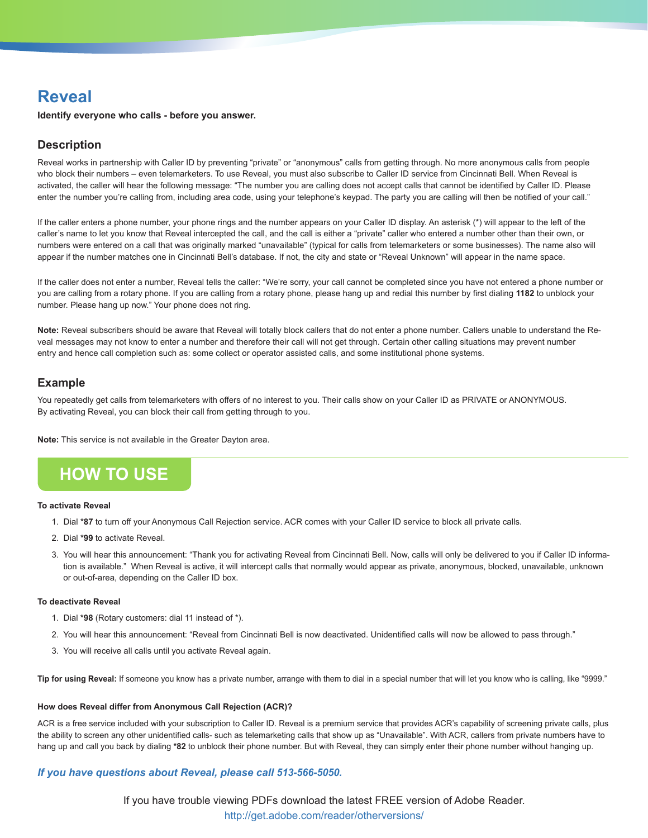## **Reveal**

**Identify everyone who calls - before you answer.**

## **Description**

Reveal works in partnership with Caller ID by preventing "private" or "anonymous" calls from getting through. No more anonymous calls from people who block their numbers – even telemarketers. To use Reveal, you must also subscribe to Caller ID service from Cincinnati Bell. When Reveal is activated, the caller will hear the following message: "The number you are calling does not accept calls that cannot be identified by Caller ID. Please enter the number you're calling from, including area code, using your telephone's keypad. The party you are calling will then be notified of your call."

If the caller enters a phone number, your phone rings and the number appears on your Caller ID display. An asterisk (\*) will appear to the left of the caller's name to let you know that Reveal intercepted the call, and the call is either a "private" caller who entered a number other than their own, or numbers were entered on a call that was originally marked "unavailable" (typical for calls from telemarketers or some businesses). The name also will appear if the number matches one in Cincinnati Bell's database. If not, the city and state or "Reveal Unknown" will appear in the name space.

If the caller does not enter a number, Reveal tells the caller: "We're sorry, your call cannot be completed since you have not entered a phone number or you are calling from a rotary phone. If you are calling from a rotary phone, please hang up and redial this number by first dialing **1182** to unblock your number. Please hang up now." Your phone does not ring.

Note: Reveal subscribers should be aware that Reveal will totally block callers that do not enter a phone number. Callers unable to understand the Reveal messages may not know to enter a number and therefore their call will not get through. Certain other calling situations may prevent number entry and hence call completion such as: some collect or operator assisted calls, and some institutional phone systems.

### **Example**

You repeatedly get calls from telemarketers with offers of no interest to you. Their calls show on your Caller ID as PRIVATE or ANONYMOUS. By activating Reveal, you can block their call from getting through to you.

**Note:** This service is not available in the Greater Dayton area.

## **How To Use**

### **To activate Reveal**

- 1. Dial **\*87** to turn off your Anonymous Call Rejection service. ACR comes with your Caller ID service to block all private calls.
- 2. Dial **\*99** to activate Reveal.
- 3. You will hear this announcement: "Thank you for activating Reveal from Cincinnati Bell. Now, calls will only be delivered to you if Caller ID information is available." When Reveal is active, it will intercept calls that normally would appear as private, anonymous, blocked, unavailable, unknown or out-of-area, depending on the Caller ID box.

### **To deactivate Reveal**

- 1. Dial **\*98** (Rotary customers: dial 11 instead of \*).
- 2. You will hear this announcement: "Reveal from Cincinnati Bell is now deactivated. Unidentified calls will now be allowed to pass through."
- 3. You will receive all calls until you activate Reveal again.

**Tip for using Reveal:** If someone you know has a private number, arrange with them to dial in a special number that will let you know who is calling, like "9999."

### **How does Reveal differ from Anonymous Call Rejection (ACR)?**

ACR is a free service included with your subscription to Caller ID. Reveal is a premium service that provides ACR's capability of screening private calls, plus the ability to screen any other unidentified calls- such as telemarketing calls that show up as "Unavailable". With ACR, callers from private numbers have to hang up and call you back by dialing **\*82** to unblock their phone number. But with Reveal, they can simply enter their phone number without hanging up.

### *If you have questions about Reveal, please call 513-566-5050.*

If you have trouble viewing PDFs download the latest FREE version of Adobe Reader. http://get.adobe.com/reader/otherversions/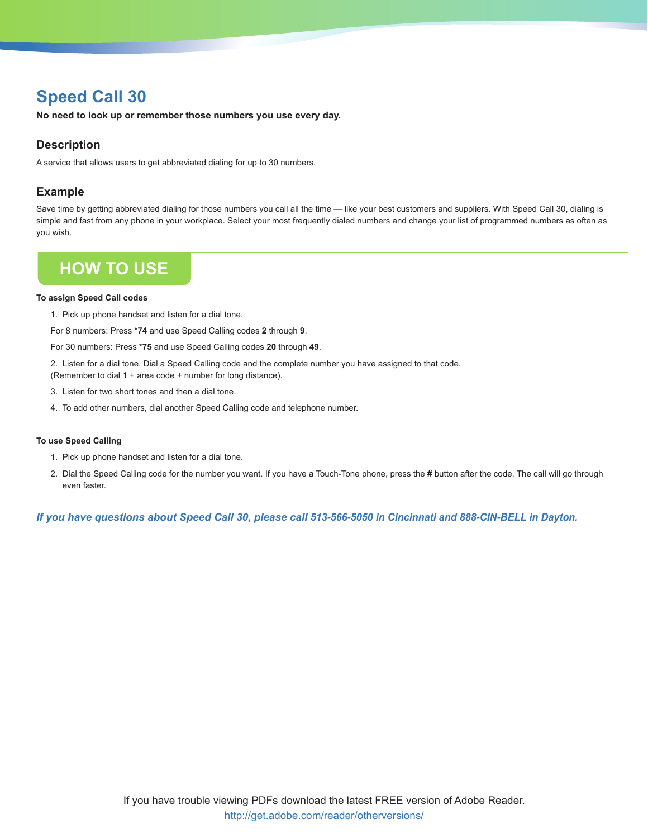## **Speed Call 30**

**No need to look up or remember those numbers you use every day.**

## **Description**

A service that allows users to get abbreviated dialing for up to 30 numbers.

## **Example**

Save time by getting abbreviated dialing for those numbers you call all the time — like your best customers and suppliers. With Speed Call 30, dialing is simple and fast from any phone in your workplace. Select your most frequently dialed numbers and change your list of programmed numbers as often as you wish.

## **How To Use**

### **To assign Speed Call codes**

1. Pick up phone handset and listen for a dial tone.

For 8 numbers: Press **\*74** and use Speed Calling codes **2** through **9**.

For 30 numbers: Press **\*75** and use Speed Calling codes **20** through **49**.

2. Listen for a dial tone. Dial a Speed Calling code and the complete number you have assigned to that code.

(Remember to dial 1 + area code + number for long distance).

- 3. Listen for two short tones and then a dial tone.
- 4. To add other numbers, dial another Speed Calling code and telephone number.

### **To use Speed Calling**

- 1. Pick up phone handset and listen for a dial tone.
- 2. Dial the Speed Calling code for the number you want. If you have a Touch-Tone phone, press the **#** button after the code. The call will go through even faster.

*If you have questions about Speed Call 30, please call 513-566-5050 in Cincinnati and 888-CIN-BELL in Dayton.*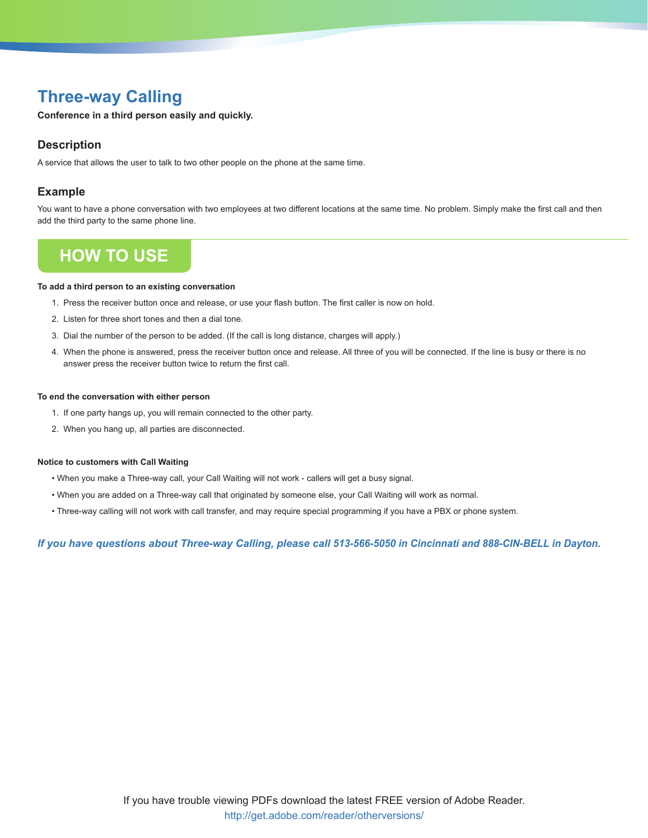## **Three-way Calling**

**Conference in a third person easily and quickly.**

### **Description**

A service that allows the user to talk to two other people on the phone at the same time.

### **Example**

You want to have a phone conversation with two employees at two different locations at the same time. No problem. Simply make the first call and then add the third party to the same phone line.

## **How To Use**

#### **To add a third person to an existing conversation**

- 1. Press the receiver button once and release, or use your flash button. The first caller is now on hold.
- 2. Listen for three short tones and then a dial tone.
- 3. Dial the number of the person to be added. (If the call is long distance, charges will apply.)
- 4. When the phone is answered, press the receiver button once and release. All three of you will be connected. If the line is busy or there is no answer press the receiver button twice to return the first call.

#### **To end the conversation with either person**

- 1. If one party hangs up, you will remain connected to the other party.
- 2. When you hang up, all parties are disconnected.

#### **Notice to customers with Call Waiting**

- When you make a Three-way call, your Call Waiting will not work callers will get a busy signal.
- When you are added on a Three-way call that originated by someone else, your Call Waiting will work as normal.
- Three-way calling will not work with call transfer, and may require special programming if you have a PBX or phone system.

*If you have questions about Three-way Calling, please call 513-566-5050 in Cincinnati and 888-CIN-BELL in Dayton.*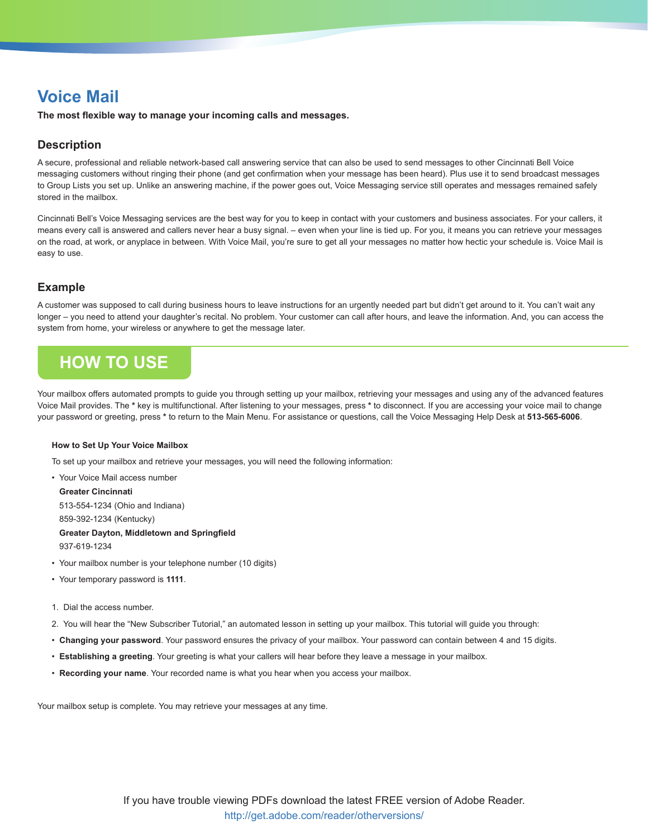**The most flexible way to manage your incoming calls and messages.**

## **Description**

A secure, professional and reliable network-based call answering service that can also be used to send messages to other Cincinnati Bell Voice messaging customers without ringing their phone (and get confirmation when your message has been heard). Plus use it to send broadcast messages to Group Lists you set up. Unlike an answering machine, if the power goes out, Voice Messaging service still operates and messages remained safely stored in the mailbox.

Cincinnati Bell's Voice Messaging services are the best way for you to keep in contact with your customers and business associates. For your callers, it means every call is answered and callers never hear a busy signal. – even when your line is tied up. For you, it means you can retrieve your messages on the road, at work, or anyplace in between. With Voice Mail, you're sure to get all your messages no matter how hectic your schedule is. Voice Mail is easy to use.

## **Example**

A customer was supposed to call during business hours to leave instructions for an urgently needed part but didn't get around to it. You can't wait any longer – you need to attend your daughter's recital. No problem. Your customer can call after hours, and leave the information. And, you can access the system from home, your wireless or anywhere to get the message later.

# **How To Use**

Your mailbox offers automated prompts to guide you through setting up your mailbox, retrieving your messages and using any of the advanced features Voice Mail provides. The **\*** key is multifunctional. After listening to your messages, press **\*** to disconnect. If you are accessing your voice mail to change your password or greeting, press **\*** to return to the Main Menu. For assistance or questions, call the Voice Messaging Help Desk at **513-565-6006**.

### **How to Set Up Your Voice Mailbox**

To set up your mailbox and retrieve your messages, you will need the following information:

• Your Voice Mail access number **Greater Cincinnati** 513-554-1234 (Ohio and Indiana) 859-392-1234 (Kentucky) **Greater Dayton, Middletown and Springfield**

937-619-1234

- Your mailbox number is your telephone number (10 digits)
- Your temporary password is **1111**.
- 1. Dial the access number.
- 2. You will hear the "New Subscriber Tutorial," an automated lesson in setting up your mailbox. This tutorial will guide you through:
- **Changing your password**. Your password ensures the privacy of your mailbox. Your password can contain between 4 and 15 digits.
- **Establishing a greeting**. Your greeting is what your callers will hear before they leave a message in your mailbox.
- **Recording your name**. Your recorded name is what you hear when you access your mailbox.

Your mailbox setup is complete. You may retrieve your messages at any time.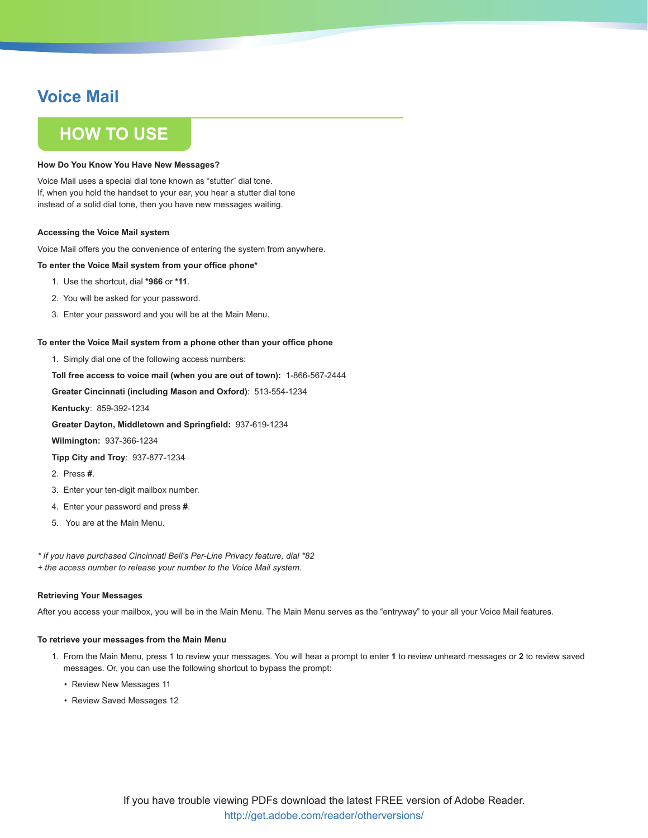## **How To Use**

#### **How Do You Know You Have New Messages?**

Voice Mail uses a special dial tone known as "stutter" dial tone. If, when you hold the handset to your ear, you hear a stutter dial tone instead of a solid dial tone, then you have new messages waiting.

#### **Accessing the Voice Mail system**

Voice Mail offers you the convenience of entering the system from anywhere.

#### **To enter the Voice Mail system from your office phone\***

- 1. Use the shortcut, dial **\*966** or **\*11**.
- 2. You will be asked for your password.
- 3. Enter your password and you will be at the Main Menu.

#### **To enter the Voice Mail system from a phone other than your office phone**

1. Simply dial one of the following access numbers:

**Toll free access to voice mail (when you are out of town):** 1-866-567-2444

**Greater Cincinnati (including Mason and Oxford)**: 513-554-1234

**Kentucky**: 859-392-1234

**Greater Dayton, Middletown and Springfield:** 937-619-1234

**Wilmington:** 937-366-1234

**Tipp City and Troy**: 937-877-1234

- 2. Press **#**.
- 3. Enter your ten-digit mailbox number.
- 4. Enter your password and press **#**.
- 5. You are at the Main Menu.

*\* If you have purchased Cincinnati Bell's Per-Line Privacy feature, dial \*82*

*+ the access number to release your number to the Voice Mail system.*

#### **Retrieving Your Messages**

After you access your mailbox, you will be in the Main Menu. The Main Menu serves as the "entryway" to your all your Voice Mail features.

#### **To retrieve your messages from the Main Menu**

- 1. From the Main Menu, press 1 to review your messages. You will hear a prompt to enter **1** to review unheard messages or **2** to review saved messages. Or, you can use the following shortcut to bypass the prompt:
	- Review New Messages 11
	- Review Saved Messages 12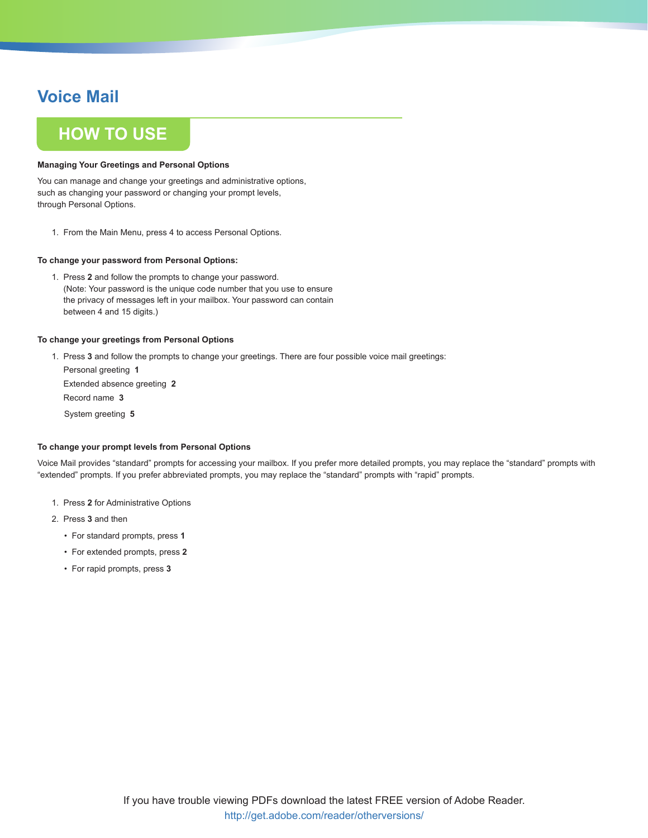## **How To Use**

### **Managing Your Greetings and Personal Options**

You can manage and change your greetings and administrative options, such as changing your password or changing your prompt levels, through Personal Options.

1. From the Main Menu, press 4 to access Personal Options.

### **To change your password from Personal Options:**

1. Press **2** and follow the prompts to change your password. (Note: Your password is the unique code number that you use to ensure the privacy of messages left in your mailbox. Your password can contain between 4 and 15 digits.)

### **To change your greetings from Personal Options**

1. Press **3** and follow the prompts to change your greetings. There are four possible voice mail greetings:

Personal greeting **1** Extended absence greeting **2** Record name **3** System greeting **5**

### **To change your prompt levels from Personal Options**

Voice Mail provides "standard" prompts for accessing your mailbox. If you prefer more detailed prompts, you may replace the "standard" prompts with "extended" prompts. If you prefer abbreviated prompts, you may replace the "standard" prompts with "rapid" prompts.

- 1. Press **2** for Administrative Options
- 2. Press **3** and then
	- For standard prompts, press **1**
	- For extended prompts, press **2**
	- For rapid prompts, press **3**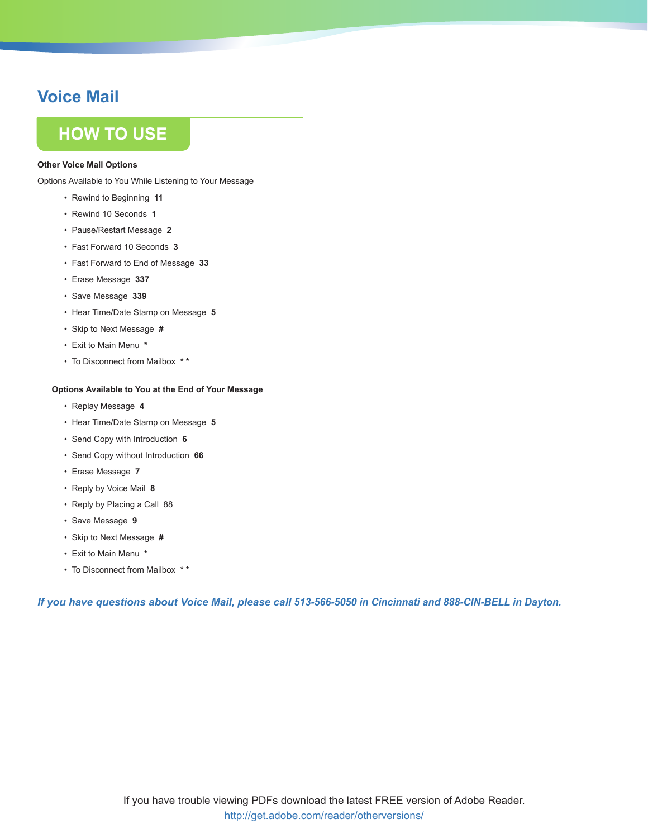## **How To Use**

### **Other Voice Mail Options**

Options Available to You While Listening to Your Message

- Rewind to Beginning **11**
- Rewind 10 Seconds **1**
- Pause/Restart Message **2**
- Fast Forward 10 Seconds **3**
- Fast Forward to End of Message **33**
- Erase Message **337**
- Save Message **339**
- Hear Time/Date Stamp on Message **5**
- Skip to Next Message **#**
- Exit to Main Menu **\***
- To Disconnect from Mailbox **\* \***

### **Options Available to You at the End of Your Message**

- Replay Message **4**
- Hear Time/Date Stamp on Message **5**
- Send Copy with Introduction **6**
- Send Copy without Introduction **66**
- Erase Message **7**
- Reply by Voice Mail **8**
- Reply by Placing a Call 88
- Save Message **9**
- Skip to Next Message **#**
- Exit to Main Menu **\***
- To Disconnect from Mailbox **\* \***

*If you have questions about Voice Mail, please call 513-566-5050 in Cincinnati and 888-CIN-BELL in Dayton.*